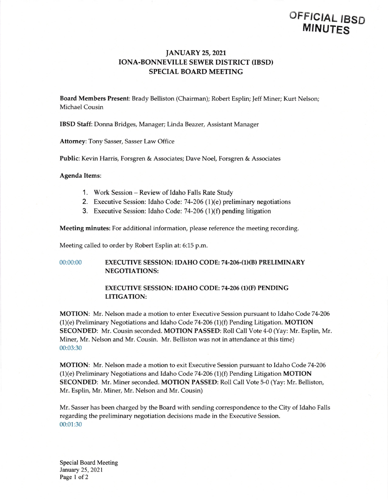# OFFICIAL IBSD MINUTES

### JANUARY 25, 2021 IONA-BONNEVILLE SEWER DISTRICT (IBSD) SPECIAL BOARD MEETING

Board Members Present: Brady Belliston (Chairman); Robert Esplin; Jeff Miner; Kurt Nelson; Michael Cousin

IBSD Staff: Donna Bridges, Manager; Linda Beazer, Assistant Manager

Attorney: Tony Sasser, Sasser Law Office

Public: Kevin Harris, Forsgren & Associates; Dave Noel, Forsgren & Associates

Agenda Items:

- 1. Work Session— Review of Idaho Falls Rate Study
- 2. Executive Session: Idaho Code: 74-206 (1)(e) preliminary negotiations
- 3. Executive Session: Idaho Code:  $74-206$  (1)( $f$ ) pending litigation

Meeting minutes: For additional information, please reference the meeting recording.

Meeting called to order by Robert Esplin at: 6:15 p.m.

00:00:00 EXECUTIVE SESSION: IDAHO CODE: 74-206-(1)(B) PRELIMINARY NEGOTIATIONS:

#### EXECUTIVE SESSION: IDAHO CODE: 74-206 (1)(F) PENDING LITIGATION:

MOTION: Mr. Nelson made <sup>a</sup> motion to enter Executive Session pursuant to Idaho Code 74- 206  $(1)(e)$  Preliminary Negotiations and Idaho Code 74-206  $(1)(f)$  Pending Litigation. MOTION SECONDED: Mr. Cousin seconded. MOTION PASSED: Roll Call Vote 4-0 (Yay: Mr. Esplin, Mr. Miner, Mr. Nelson and Mr. Cousin. Mr. Belliston was not in attendance at this time) 00:03:30

MOTION: Mr. Nelson made <sup>a</sup> motion to exit Executive Session pursuant to Idaho Code 74-206  $1$ )(e) Preliminary Negotiations and Idaho Code 74-206 (1)( $f$ ) Pending Litigation **MOTION** SECONDED: Mr. Miner seconded. MOTION PASSED: Roll Call Vote 5-0 (Yay: Mr. Belliston, Mr. Esplin, Mr. Miner, Mr. Nelson and Mr. Cousin)

Mr. Sasser has been charged by the Board with sending correspondence to the City of Idaho Falls regarding the preliminary negotiation decisions made in the Executive Session. 00:01:30

Special Board Meeting January 25, 2021 Page <sup>1</sup> of 2